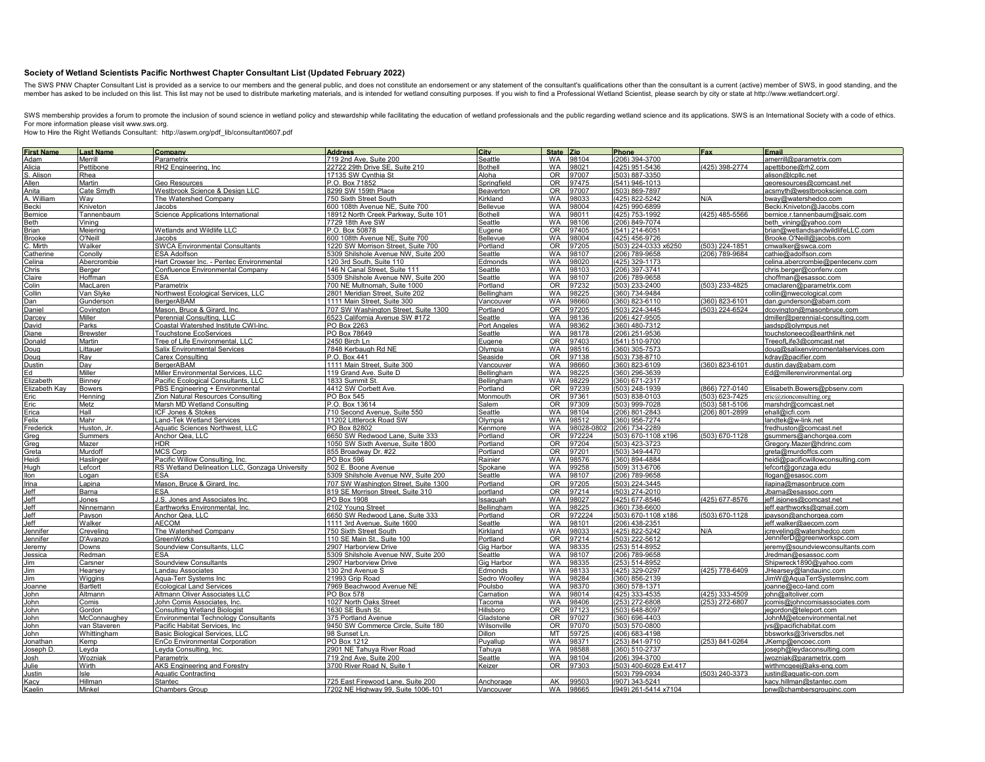## **Society of Wetland Scientists Pacific Northwest Chapter Consultant List (Updated February 2022)**

The SWS PNW Chapter Consultant List is provided as a service to our members and the general public, and does not constitute an endorsement or any statement of the consultant's qualifications other than the consultant is a

SWS membership provides a forum to promote the inclusion of sound science in wetland policy and stewardship while facilitating the education of wetland professionals and the public regarding wetland science and its applica For more information please visit www.sws.org.

How to Hire the Right Wetlands Consultant: http://aswm.org/pdf\_lib/consultant0607.pdf

|                    | <b>Last Name</b> | Company                                        | <b>Address</b>                       | <b>City</b>     | State Zip      |           | Phone                  | Fax            | Email                               |
|--------------------|------------------|------------------------------------------------|--------------------------------------|-----------------|----------------|-----------|------------------------|----------------|-------------------------------------|
| First Name         | Merrill          | Parametrix                                     | 719 2nd Ave, Suite 200               | Seattle         | <b>WA</b>      | 98104     | 206) 394-3700          |                | amerrill@parametrix.com             |
| Alicia             | Pettibone        | RH2 Engineering, Inc                           | 22722 29th Drive SE, Suite 210       | <b>Bothell</b>  | <b>WA</b>      | 98021     | (425) 951-5436         | (425) 398-2774 | apettibone@rh2.com                  |
| S. Alisor          | Rhea             |                                                | 17135 SW Cynthia St                  | Aloha           | OR.            | 97007     | (503) 887-3350         |                | alison@lcpllc.net                   |
| Allen              | Martin           | Geo Resources                                  | P.O. Box 71852                       | Springfield     | <b>OR</b>      | 97475     | (541) 946-1013         |                | georesources@comcast.net            |
| Anita              | Cate Smyth       | Westbrook Science & Design LLC                 | 8299 SW 159th Place                  | Beaverton       | OR <sub></sub> | 97007     | (503) 869-7897         |                | acsmyth@westbrookscience.com        |
| A. William         | Way              | The Watershed Company                          | 750 Sixth Street South               | Kirkland        | <b>WA</b>      | 98033     | (425) 822-5242         | N/A            | bway@watershedco.com                |
| 3ecki              | Kniveton         | lacobs                                         | 600 108th Avenue NE, Suite 700       | Bellevue        | <b>WA</b>      | 8004      | (425) 990-6899         |                | Becki.Kniveton@Jacobs.com           |
| Bernice            | Tannenbaum       | <b>Science Applications International</b>      | 18912 North Creek Parkway, Suite 101 | <b>Bothell</b>  | <b>WA</b>      | 98011     | (425) 753-1992         | (425) 485-5566 | bernice.r.tannenbaum@saic.com       |
| Beth               | Vining           |                                                | 7729 18th Ave SW                     | Seattle         | <b>WA</b>      | 98106     | (206) 849-7074         |                | beth vining@yahoo.com               |
| Brian              | Meiering         | Wetlands and Wildlife LLC                      | P.O. Box 50878                       | Eugene          | 0 <sub>R</sub> | 97405     | (541) 214-6051         |                | brian@wetlandsandwildlifeLLC.com    |
|                    | O'Neill          | Jacobs                                         | 600 108th Avenue NE, Suite 700       | <b>Bellevue</b> | WA             | 98004     | (425) 456-9726         |                | Brooke.O'Neill@jacobs.com           |
| Brooke<br>. Mirth  | Walker           | <b>SWCA Environmental Consultants</b>          |                                      | Portland        | OR             | 97205     | (503) 224-0333 x6250   | (503) 224-1851 |                                     |
|                    |                  |                                                | 1220 SW_Morrison Street, Suite 700   |                 | <b>WA</b>      | 98107     |                        |                | cmwalker@swca.com                   |
| atherine           | Conolly          | ESA Adolfson                                   | 5309 Shilshole Avenue NW, Suite 200  | Seattle         |                |           | (206) 789-9658         | (206) 789-9684 | cathie@adolfson.com                 |
| elina              | Abercrombie      | Hart Crowser Inc. - Pentec Environmental       | 120 3rd South, Suite 110             | Edmonds         | WA             | 98020     | (425) 329-1173         |                | celina.abercrombie@pentecenv.com    |
| hris:              | Berger           | Confluence Environmental Company               | 146 N Canal Street, Suite 111        | Seattle         | <b>WA</b>      | 98103     | (206) 397-3741         |                | chris.berger@confeny.com            |
| Claire             | Hoffman          | ESA                                            | 5309 Shilshole Avenue NW, Suite 200  | Seattle         | <b>WA</b>      | 98107     | (206) 789-9658         |                | choffman@esassoc.com                |
| olin:              | MacLaren         | Parametrix                                     | 700 NE Multnomah, Suite 1000         | Portland        | OR             | 97232     | (503) 233-2400         | (503) 233-4825 | cmaclaren@parametrix.com            |
| ollin              | Van Slyke        | Northwest Ecological Services, LLC             | 2801 Meridian Street, Suite 202      | Bellingham      | <b>WA</b>      | 98225     | (360) 734-9484         |                | collin@nwecological.com             |
| Dan                | Gunderson        | BergerABAM                                     | 1111 Main Street, Suite 300          | Vancouver       | <b>WA</b>      | 98660     | 360) 823-6110          | (360) 823-6101 | dan.gunderson@abam.com              |
| <b>Janiel</b>      | Covington        | Mason, Bruce & Girard, Inc.                    | 707 SW Washington Street, Suite 1300 | Portland        | OR             | 97205     | (503) 224-3445         | (503) 224-6524 | dcovington@masonbruce.com           |
| )arcey             | Miller           | Perennial Consulting, LLC                      | 6523 California Avenue SW #172       | Seattle         | <b>WA</b>      | 98136     | (206) 427-9505         |                | dmiller@perennial-consulting.com    |
| <b>Javid</b>       | Parks            | Coastal Watershed Institute CWI-Inc.           | PO Box 2263                          | Port Angeles    | <b>WA</b>      | 98362     | (360) 480-7312         |                | asdsp@olympus.net                   |
| )iane              | <b>Brewster</b>  | <b>Touchstone EcoServices</b>                  | PO Box 78649                         | Seattle         | <b>WA</b>      | 98178     | $(206)$ 251-9536       |                | touchstoneeco@earthlink.net         |
| )onald             | Martin           | Tree of Life Environmental, LLC                | 2450 Birch Ln                        | Eugene          | OR.            | 97403     | (541) 510-9700         |                | TreeofLife3@comcast.net             |
| puo(               | Littauer         | <b>Salix Environmental Services</b>            | 7848 Kerbaugh Rd NE                  | Olympia         | WA             | 98516     | 360) 305-7573          |                | doug@salixenvironmentalservices.com |
| )oug               | Ray              | Carex Consulting                               | P.O. Box 441                         | Seaside         | <b>OR</b>      | 97138     | (503) 738-8710         |                | kdray@pacifier.com                  |
| <u>Justin</u>      | Day              | BergerABAM                                     | 1111 Main Street, Suite 300          | Vancouver       | <b>WA</b>      | 98660     | (360) 823-6109         | (360) 823-6101 | dustin.day@abam.com                 |
| Ed                 | Miller           | Miller Environmental Services, LLC             | 119 Grand Ave. Suite D               | Bellingham      | <b>WA</b>      | 98225     | (360) 296-3639         |                | Ed@millerenvironmental.org          |
| iizabeth:          | Binney           | Pacific Ecological Consultants, LLC            | 1833 Summit St                       | Bellingham      | <b>WA</b>      | 98229     | (360) 671-2317         |                |                                     |
| lizabeth Kay       | <b>Bowers</b>    | PBS Engineering + Environmental                | 4412 SW Corbett Ave.                 | Portland        | OR <sub></sub> | 97239     | (503) 248-1939         | (866) 727-0140 | Elisabeth.Bowers@pbsenv.com         |
| :ric               | Henning          | Zion Natural Resources Consulting              | PO Box 545                           | Monmouth        | 0R             | 97361     | 503) 838-0103          | (503) 623-7425 | eric@zionconsulting.org             |
|                    |                  |                                                | P.O. Box 13614                       |                 | OR.            |           | 503) 999-7028          | (503) 581-5106 |                                     |
| Eric               | Metz             | Marsh MD Wetland Consulting                    |                                      | Salem           |                | 97309     |                        |                | marshdr@comcast.net                 |
| Erica              | Hall             | <b>ICF Jones &amp; Stokes</b>                  | 710 Second Avenue, Suite 550         | Seattle         | <b>WA</b>      | 98104     | (206) 801-2843         | (206) 801-2899 | ehall@icfi.com                      |
| Felix              | Mahr             | and-Tek Wetland Services                       | 11202 Littlerock Road SW             | Olympia         | <b>WA</b>      | 98512     | (360) 956-7274         |                | andtek@w-link.net                   |
| Frederic           | Huston, Jr       | <b>Aquatic Sciences Northwest, LLC</b>         | PO Box 82802                         | Kenmore         | <b>WA</b>      | 98028-080 | (206) 734-2289         |                | redhuston@comcast.net               |
| Greg               | Summers          | Anchor Qea, LLC                                | 6650 SW Redwood Lane, Suite 333      | Portland        | OR.            | 972224    | (503) 670-1108 x196    | (503) 670-1128 | qsummers@anchorgea.com              |
| Greg               | Mazer            | HDR                                            | 1050 SW Sixth Avenue, Suite 1800     | Portland        | OR.            | 97204     | 503) 423-3723          |                | Gregory.Mazer@hdrinc.com            |
| Greta              | Murdoff          | <b>MCS Corp</b>                                | 855 Broadway Dr. #22                 | Portland        | <b>OR</b>      | 97201     | (503) 349-4470         |                | greta@murdoffcs.com                 |
| Heidi              | Haslinge         | Pacific Willow Consulting, Inc.                | PO Box 596                           | Rainier         | <b>WA</b>      | 98576     | (360) 894-4884         |                | heidi@pacificwillowconsulting.com   |
| lugh               | Lefcort          | RS Wetland Delineation LLC, Gonzaga University | 502 E. Boone Avenue                  | Spokane         | <b>WA</b>      | 99258     | (509) 313-6706         |                | efcort@gonzaga.edu                  |
| llon               | Logan            |                                                | 5309 Shilshole Avenue NW, Suite 200  | Seattle         | <b>WA</b>      | 98107     | (206) 789-9658         |                | logan@esasoc.com                    |
| Irina              | Lapina           | Mason, Bruce & Girard, Inc.                    | 707 SW Washington Street, Suite 1300 | Portland        | 0 <sub>R</sub> | 97205     | (503) 224-3445         |                | ilapina@masonbruce.com              |
| Jeff               | Barna            | ESA                                            | 819 SE Morrison Street, Suite 310    | portland        | OR.            | 97214     | 503) 274-2010          |                | Jbarna@esassoc.com                  |
| Jeff               | Jones            | J.S. Jones and Associates Inc.                 | PO Box 1908                          | Issaguah        | <b>WA</b>      | 98027     | (425) 677-8546         | (425) 677-8576 | ieff.isiones@comcast.net            |
| Jeff               | Ninnemann        | Earthworks Environmental, Inc.                 | 2102 Young Street                    | Bellingham      | <b>WA</b>      | 98225     | (360) 738-6600         |                | jeff.earthworks@gmail.com           |
| Jeff               | Payson           | Anchor Qea, LLC                                | 6650 SW Redwood Lane, Suite 333      | Portland        | OR.            | 972224    | (503) 670-1108 x186    | (503) 670-1128 | payson@anchorgea.com                |
| Jeff               | Walker           | AECOM                                          | 1111 3rd Avenue, Suite 1600          | Seattle         | <b>WA</b>      | 98101     | $(206)$ 438-2351       |                | jeff.walker@aecom.com               |
| <u>Jennifer</u>    | Creveling        | The Watershed Company                          | 750 Sixth Street South               | Kirkland        | <b>WA</b>      | 98033     | (425) 822-5242         | N/A            | creveling@watershedco.com           |
| ennifer            | D'Avanzo         | <b>GreenWorks</b>                              | 110 SE Main St., Suite 100           | Portland        | <b>OR</b>      | 97214     | (503) 222-5612         |                | JenniferD@greenworkspc.com          |
| eremy              | Downs            | Soundview Consultants, LLC                     | 2907 Harborview Drive                | Gig Harbo       | <b>WA</b>      | 98335     | (253) 514-8952         |                | jeremy@soundviewconsultants.com     |
| essica             | Redman           | ESA                                            | 5309 Shilshole Avenue NW, Suite 200  | Seattle         | <b>WA</b>      | 98107     | (206) 789-9658         |                | Jredman@esassoc.com                 |
|                    |                  |                                                | 2907 Harborview Drive                | Gia Harbor      | <b>WA</b>      | 98335     | (253) 514-8952         |                | Shipwreck1890@yahoo.com             |
| lim                | Carsner          | Soundview Consultants                          |                                      |                 | <b>WA</b>      |           |                        |                |                                     |
| Jim                | Hearsey          | Landau Associates                              | 130 2nd Avenue S                     | Edmonds         | <b>WA</b>      | 98133     | (425) 329-0297         | (425) 778-6409 | JHearsey@landauinc.com              |
| Jim                | Wiggins          | Aqua-Terr Systems Inc                          | 21993 Grip Road                      | Sedro Woollev   |                | 98284     | 360) 856-2139          |                | JimW@AquaTerrSystemsInc.com         |
| Joanne             | <b>Bartlett</b>  | Ecological Land Services                       | 7969 Beachwood Avenue NE             | Poulsbo         | WA             | 98370     | 360) 578-1371          |                | joanne@eco-land.com                 |
| John               | Altmann          | Altmann Oliver Associates LLC                  | PO Box 578                           | Carnatior       | <b>WA</b>      | 98014     | (425) 333-4535         | (425) 333-4509 | iohn@altoliver.com                  |
| John               | Comis            | John Comis Associates, Inc.                    | 1027 North Oaks Street               | Tacoma          | <b>WA</b>      | 98406     | (253) 272-6808         | (253) 272-6807 | comis@johncomisassociates.com       |
| John               | Gordon           | <b>Consulting Wetland Biologist</b>            | 1630 SE Bush St.                     | Hillsboro       | OR             | 97123     | (503) 648-8097         |                | egordon@teleport.com                |
| John               | McConnaughey     | Environmental Technology Consultants           | 375 Portland Avenue                  | Gladstone       | <b>OR</b>      | 97027     | (360) 696-4403         |                | JohnM@etcenvironmental.net          |
| John               | van Staveren     | Pacific Habitat Services, Inc                  | 9450 SW Commerce Circle, Suite 180   | Wilsonville     | <b>OR</b>      | 97070     | (503) 570-0800         |                | vs@pacifichabitat.com               |
| John               | Whittingham      | Basic Biological Services, LLC                 | 98 Sunset Ln.                        | <b>Dillon</b>   | MT             | 59725     | (406) 683-4198         |                | bbsworks@3riversdbs.net             |
| Jonathar           | Kemp             | EnCo Environmental Corporation                 | PO Box 1212                          | Puyallup        | <b>WA</b>      | 98371     | (253) 841-9710         | (253) 841-0264 | JKemp@encoec.com                    |
| oseph <sub>D</sub> | Leyda            | Leyda Consulting, Inc.                         | 2901 NE Tahuya River Road            | Tahuya          | <b>WA</b>      | 98588     | (360) 510-2737         |                | oseph@leydaconsulting.com           |
| losh               | Wozniak          | Parametrix                                     | 719 2nd Ave, Suite 200               | Seattle         | <b>WA</b>      | 98104     | (206) 394-3700         |                | wozniak@parametrix.com              |
| ulie               | Wirth            | <b>AKS Engineering and Forestry</b>            | 3700 River Road N. Suite 1           | Keizer          | OR             | 97303     | (503) 400-6028 Ext.417 |                | wirthmcgeej@aks-eng.com             |
| ustin              | Isle             | <b>Aquatic Contracting</b>                     |                                      |                 |                |           | 503) 799-0934          | (503) 240-3373 | ustin@aquatic-con.com               |
| Kacy               | Hillman          | Stantec                                        | 725 East Firewood Lane, Suite 200    | Anchorage       | AK             | 99503     | 907) 343-5241          |                | kacy.hillman@stantec.com            |
| Kaelin             | Minkel           | <b>Chambers Group</b>                          | 7202 NE Highway 99, Suite 1006-101   | Vancouver       | <b>WA</b>      | 98665     | (949) 261-5414 x7104   |                | pnw@chambersgroupinc.com            |
|                    |                  |                                                |                                      |                 |                |           |                        |                |                                     |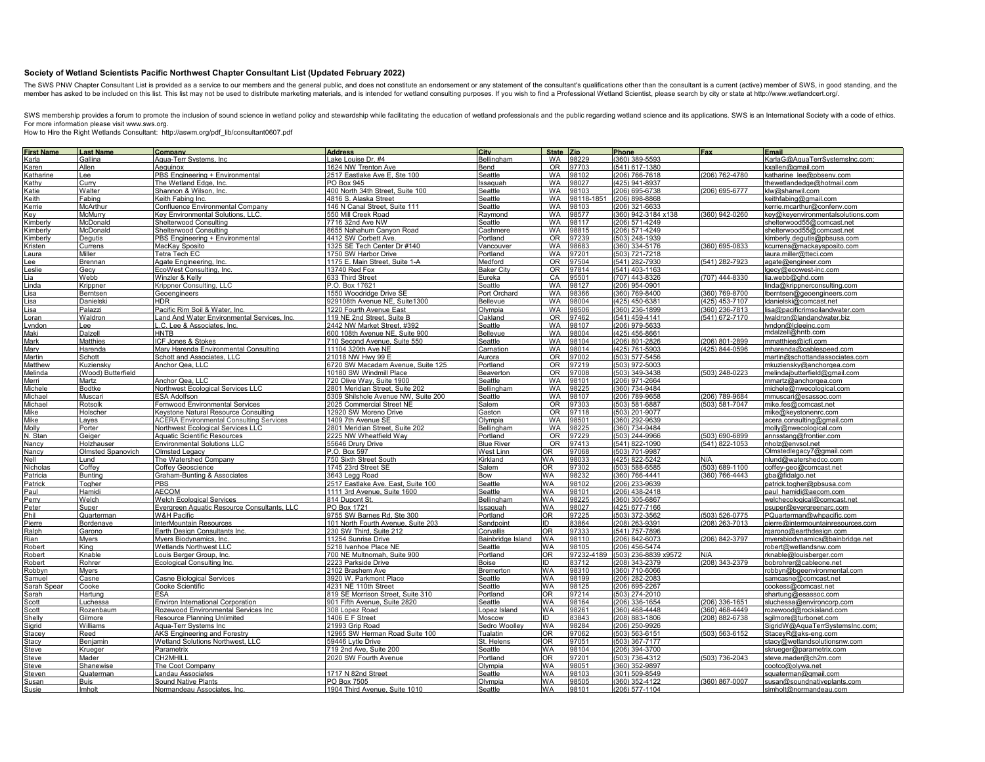## **Society of Wetland Scientists Pacific Northwest Chapter Consultant List (Updated February 2022)**

The SWS PNW Chapter Consultant List is provided as a service to our members and the general public, and does not constitute an endorsement or any statement of the consultant's qualifications other than the consultant is a

SWS membership provides a forum to promote the inclusion of sound science in wetland policy and stewardship while facilitating the education of wetland professionals and the public regarding wetland science and its applica For more information please visit www.sws.org.

How to Hire the Right Wetlands Consultant: http://aswm.org/pdf\_lib/consultant0607.pdf

|                                                                                                                                                                                                                                            | <b>Last Name</b>         | Company                                        | <b>Address</b>                      | City              | State Zip       |           | Phone                | Fax                | <b>Email</b>                      |
|--------------------------------------------------------------------------------------------------------------------------------------------------------------------------------------------------------------------------------------------|--------------------------|------------------------------------------------|-------------------------------------|-------------------|-----------------|-----------|----------------------|--------------------|-----------------------------------|
| First Name<br>Karla                                                                                                                                                                                                                        | Gallina                  | Aqua-Terr Systems, Inc.                        | Lake Louise Dr. #4                  | Bellingham        | <b>WA</b>       | 98229     | (360) 389-5593       |                    | KarlaG@AquaTerrSystemsInc.com;    |
| Karen                                                                                                                                                                                                                                      | Allen                    | Aequinox                                       | 1624 NW Trenton Ave                 | Bend              | <b>OR</b>       | 97703     | 541) 617-1380        |                    | cxallen@gmail.com                 |
| Katharine                                                                                                                                                                                                                                  | Lee                      | PBS Engineering + Environmental                | 2517 Eastlake Ave E, Ste 100        | Seattle           | <b>WA</b>       | 98102     | 206) 766-7618        | (206) 762-4780     | katharine lee@pbsenv.com          |
| Kathv                                                                                                                                                                                                                                      | Curry                    | The Wetland Edge. Inc.                         | PO Box 945                          | Issaguar          | <b>WA</b>       | 98027     | (425) 941-8937       |                    | thewetlandedge@hotmail.com        |
| atie                                                                                                                                                                                                                                       | Walter                   | Shannon & Wilson, Inc.                         | 400 North 34th Street, Suite 100    | Seattle           | <b>WA</b>       | 98103     | (206) 695-6738       | (206) 695-6777     | klw@shanwil.com                   |
|                                                                                                                                                                                                                                            |                          |                                                |                                     |                   |                 |           |                      |                    |                                   |
| Keith                                                                                                                                                                                                                                      | Fabing                   | Keith Fabing Inc.                              | 4816 S. Alaska Street               | Seattle           | <b>WA</b>       | 98118-185 | (206) 898-8868       |                    | keithfabing@gmail.com             |
| <errie< td=""><td>McArthur</td><td>Confluence Environmental Company</td><td>146 N Canal Street, Suite 111</td><td>Seattle</td><td><b>WA</b></td><td>98103</td><td>206) 321-6633</td><td></td><td>kerrie.mcarthur@confenv.com</td></errie<> | McArthur                 | Confluence Environmental Company               | 146 N Canal Street, Suite 111       | Seattle           | <b>WA</b>       | 98103     | 206) 321-6633        |                    | kerrie.mcarthur@confenv.com       |
| Key                                                                                                                                                                                                                                        | McMurry                  | Key Environmental Solutions, LLC.              | 550 Mill Creek Road                 | Raymond           | WA              | 38577     | 360) 942-3184 x138   | (360) 942-0260     | key@keyenvironmentalsolutions.com |
| Kimberly                                                                                                                                                                                                                                   | McDonald                 | Shelterwood Consulting                         | 7716 32nd Ave NW                    | Seattle           | <b>WA</b>       | 98117     | (206) 571-4249       |                    | shelterwood55@comcast.net         |
| (imberly                                                                                                                                                                                                                                   | McDonald                 | Shelterwood Consulting                         | 8655 Nahahum Canyon Road            | Cashmere          | <b>WA</b>       | 98815     | (206) 571-4249       |                    | shelterwood55@comcast.net         |
| .imberly                                                                                                                                                                                                                                   | Degutis                  | PBS Engineering + Environmental                | 4412 SW Corbett Ave.                | Portland          | <b>OR</b>       | 97239     | (503) 248-1939       |                    | kimberly.degutis@pbsusa.com       |
| <b>Cristen</b>                                                                                                                                                                                                                             | Currens                  | MacKay Sposito                                 | 1325 SE Tech Center Dr #140         | Vancouver         | <b>WA</b>       | 98683     | (360) 334-5176       | (360) 695-0833     | kcurrens@mackaysposito.com        |
| aura                                                                                                                                                                                                                                       | Miller                   | Tetra Tech EC                                  | 1750 SW Harbor Drive                | Portland          | <b>WA</b>       | 97201     | (503) 721-7218       |                    | aura.miller@tteci.com             |
| .ee                                                                                                                                                                                                                                        | Brennan                  | Agate Engineering, Inc.                        | 1175 E. Main Street, Suite 1-A      | Medford           | OR              | 97504     | (541) 282-7930       | (541) 282-7923     | agate@engineer.com                |
|                                                                                                                                                                                                                                            |                          |                                                |                                     |                   | <b>OR</b>       | 97814     | (541) 403-1163       |                    |                                   |
| eslie                                                                                                                                                                                                                                      | Gecy                     | EcoWest Consulting, Inc.                       | 13740 Red Fox                       | <b>Baker City</b> |                 |           |                      |                    | lgecy@ecowest-inc.com             |
| ia                                                                                                                                                                                                                                         | Webb                     | Winzler & Kelly                                | 633 Third Street                    | Eureka            | CA              | 95501     | (707) 443-8326       | (707) 444-8330     | lia.webb@ghd.com                  |
| inda                                                                                                                                                                                                                                       | Krippner                 | Krippner Consulting, LLC                       | P.O. Box 17621                      | Seattle           | WA              | 98127     | (206) 954-0901       |                    | inda@krippnerconsulting.com       |
| isa                                                                                                                                                                                                                                        | Berntsen                 | Geoenaineers                                   | 1550 Woodridge Drive SE             | Port Orchard      | <b>WA</b>       | 98366     | (360) 769-8400       | $(360) 769 - 8700$ | berntsen@geoengineers.com         |
| isa                                                                                                                                                                                                                                        | Danielski                | <b>HDR</b>                                     | 929108th Avenue NE, Suite1300       | <b>Bellevue</b>   | <b>WA</b>       | 98004     | (425) 450-6381       | (425) 453-7107     | ldanielski@comcast.net            |
| isa                                                                                                                                                                                                                                        | Palazzi                  | Pacific Rim Soil & Water, Inc.                 | 1220 Fourth Avenue East             | Olympia           | <b>WA</b>       | 98506     | 360) 236-1899        | (360) 236-7813     | isa@pacificrimsoilandwater.com    |
| .oran                                                                                                                                                                                                                                      | Waldron                  | Land And Water Environmental Services, Inc     | 119 NE 2nd Street. Suite B          | Oakland           | OR              | 97462     | (541) 459-4141       | (541) 672-7170     | lwaldron@landandwater.biz         |
| <u>yndor</u>                                                                                                                                                                                                                               | Lee                      | L.C. Lee & Associates, Inc                     | 2442 NW Market Street, #392         | Seattle           | <b>WA</b>       | 98107     | (206) 979-5633       |                    | yndon@lcleeinc.com                |
| Maki                                                                                                                                                                                                                                       | Dalzell                  | <b>HNTB</b>                                    | 600 108th Avenue NE, Suite 900      | Bellevue          | <b>WA</b>       | 98004     | (425) 456-8661       |                    | mdalzell@hntb.com                 |
| Mark                                                                                                                                                                                                                                       | <b>Matthies</b>          | <b>ICF Jones &amp; Stokes</b>                  | 710 Second Avenue, Suite 550        | Seattle           | <b>WA</b>       | 98104     | (206) 801-2826       | (206) 801-2899     | nmatthies@icfi.com                |
|                                                                                                                                                                                                                                            |                          |                                                |                                     |                   | <b>WA</b>       |           |                      | (425) 844-0596     |                                   |
| Mary                                                                                                                                                                                                                                       | Harenda                  | Mary Harenda Environmental Consulting          | 11104 320th Ave NE                  | Carnation         |                 | 98014     | (425) 761-5903       |                    | mharenda@cablespeed.com           |
| Martin                                                                                                                                                                                                                                     | Schott                   | Schott and Associates, LLC                     | 21018 NW Hwy 99 E                   | Aurora            | OR              | 97002     | (503) 577-5456       |                    | martin@schottandassociates.com    |
| Matthew                                                                                                                                                                                                                                    | Kuziensky                | Anchor Qea. LLC                                | 6720 SW Macadam Avenue, Suite 125   | Portland          | <b>OR</b>       | 97219     | (503) 972-5003       |                    | mkuziensky@anchorgea.com          |
| <i>Melinda</i>                                                                                                                                                                                                                             | (Wood) Butterfield       |                                                | 10180 SW Windmill Place             | Beaverton         | OR <sub></sub>  | 97008     | (503) 349-3438       | (503) 248-0223     | melindaibutterfield@gmail.com     |
| Merri                                                                                                                                                                                                                                      | Martz                    | Anchor Qea, LLC                                | 720 Olive Way, Suite 1900           | Seattle           | WA              | 98101     | (206) 971-2664       |                    | mmartz@anchorgea.com              |
| Michele                                                                                                                                                                                                                                    | <b>Bodtke</b>            | Northwest Ecological Services LLC              | 2801 Meridian Street, Suite 202     | Bellingham        | <b>WA</b>       | 98225     | (360) 734-9484       |                    | nichele@nwecological.com          |
| Michael                                                                                                                                                                                                                                    | Muscari                  | <b>SA Adolfson</b>                             | 5309 Shilshole Avenue NW, Suite 200 | Seattle           | WA              | 38107     | 206) 789-9658        | $(206)$ 789-9684   | nmuscari@esassoc.com              |
| Michael                                                                                                                                                                                                                                    | Rotsolk                  | Fernwood Environmental Services                | 2025 Commercial Street NE           | Salem             | OR <sub>1</sub> | 97303     | 503) 581-6887        | (503) 581-7047     | mike.fes@comcast.net              |
| Mike                                                                                                                                                                                                                                       | Holscher                 | Keystone Natural Resource Consulting           | 12920 SW Moreno Drive               | Gaston            | OR              | 97118     | (503) 201-9077       |                    | mike@keystonenrc.com              |
| Mike                                                                                                                                                                                                                                       | Layes                    | <b>ACERA Environmental Consulting Services</b> | 1409 7th Avenue SE                  | Olympia           | <b>WA</b>       | 98501     | (360) 292-9639       |                    | acera.consulting@gmail.com        |
| Molly                                                                                                                                                                                                                                      |                          | Northwest Ecological Services LLC              | 2801 Meridian Street, Suite 202     |                   | <b>WA</b>       | 98225     | (360) 734-9484       |                    |                                   |
|                                                                                                                                                                                                                                            | Porter                   |                                                |                                     | Bellingham        |                 |           |                      |                    | molly@nwecological.com            |
| N. Stan                                                                                                                                                                                                                                    | Geiger                   | <b>Aquatic Scientific Resources</b>            | 2225 NW Wheatfield Way              | Portland          | <b>OR</b>       | 97229     | (503) 244-9966       | (503) 690-6899     | annsstang@frontier.com            |
| Jancy                                                                                                                                                                                                                                      | Holzhauser               | <b>Environmental Solutions LLC</b>             | 55646 Drury Drive                   | <b>Blue River</b> | OR              | 97413     | (541) 822-1090       | (541) 822-1053     | nholz@envsol.net                  |
| Nancy                                                                                                                                                                                                                                      | <b>Olmsted Spanovich</b> | Olmsted Legacy                                 | P.O. Box 597                        | <b>West Linn</b>  | 0R              | 97068     | (503) 701-9987       |                    | Olmstedlegacy7@gmail.com          |
| Nell                                                                                                                                                                                                                                       | Lund                     | The Watershed Company                          | 750 Sixth Street South              | Kirkland          | <b>WA</b>       | 98033     | (425) 822-5242       | N/A                | nlund@watershedco.com             |
| licholas                                                                                                                                                                                                                                   | Coffey                   | Coffey Geoscience                              | 1745 23rd Street SE                 | Salem             | <b>OR</b>       | 97302     | (503) 588-6585       | (503) 689-1100     | coffey-geo@comcast.net            |
| Patricia                                                                                                                                                                                                                                   | <b>Bunting</b>           | Graham-Bunting & Associates                    | 3643 Legg Road                      | Bow               | WA              | 98232     | (360) 766-4441       | (360) 766-4443     | aba@fidalgo.net                   |
| Patrick                                                                                                                                                                                                                                    | Togher                   | PBS                                            | 2517 Eastlake Ave. East, Suite 100  | Seattle           | WA              | 98102     | (206) 233-9639       |                    | patrick.togher@pbsusa.com         |
| Paul                                                                                                                                                                                                                                       | Hamidi                   | AECOM                                          | 1111 3rd Avenue, Suite 1600         | Seattle           | WA              | 98101     | (206) 438-2418       |                    | paul hamidi@aecom.com             |
| Perry                                                                                                                                                                                                                                      | Welch                    | <b>Welch Ecological Services</b>               | 814 Dupont St.                      | Bellingham        | <b>WA</b>       | 98225     | (360) 305-6867       |                    | welchecological@comcast.net       |
|                                                                                                                                                                                                                                            |                          |                                                | PO Box 1721                         |                   |                 |           |                      |                    |                                   |
| Peter                                                                                                                                                                                                                                      | Super                    | Evergreen Aquatic Resource Consultants, LLC    |                                     | ssaquah           | WA              | 98027     | (425) 677-7166       |                    | psuper@evergreenarc.com           |
| Phil                                                                                                                                                                                                                                       | Quarterman               | <b>W&amp;H Pacific</b>                         | 9755 SW Barnes Rd, Ste 300          | Portland          | <b>OR</b>       | 97225     | (503) 372-3562       | (503) 526-0775     | PQuarterman@whpacific.com         |
| Pierre                                                                                                                                                                                                                                     | Bordenave                | InterMountain Resources                        | 101 North Fourth Avenue, Suite 203  | Sandpoint         | ID              | 83864     | (208) 263-9391       | $(208)$ 263-7013   | oierre@intermountainresources.com |
| Ralph                                                                                                                                                                                                                                      | Garono                   | Earth Design Consultants Inc.                  | 230 SW Third, Suite 212             | Corvallis         | 0R              | 97333     | (541) 757-7896       |                    | rgarono@earthdesign.com           |
| Rian                                                                                                                                                                                                                                       | Myers                    | Myers Biodynamics, Inc.                        | 11254 Sunrise Drive                 | Bainbridge Island | WA              | 98110     | (206) 842-6073       | (206) 842-3797     | myersbiodynamics@bainbridge.net   |
| Robert                                                                                                                                                                                                                                     | Kina                     | Wetlands Northwest LLC                         | 5218 Ivanhoe Place NE               | Seattle           | <b>WA</b>       | 98105     | (206) 456-5474       |                    | robert@wetlandsnw.com             |
| <b>Robert</b>                                                                                                                                                                                                                              | Knable                   | Louis Berger Group, Inc.                       | 700 NE Multnomah, Suite 900         | Portland          | <b>OR</b>       | 97232-41  | (503) 236-8839 x9572 | N/A                | knable@louisberger.com            |
| रेobert                                                                                                                                                                                                                                    | Rohrer                   | Ecological Consulting Inc.                     | 2223 Parkside Drive                 | Boise             | ID              | 83712     | (208) 343-2379       | (208) 343-2379     | oobrohrer@cableone.net            |
| <b>cobbyn</b>                                                                                                                                                                                                                              | Myers                    |                                                | 2102 Brashem Ave                    | <b>Bremerton</b>  | <b>WA</b>       | 98310     | (360) 710-6066       |                    | robbyn@bgeenvironmental.com       |
| amuel                                                                                                                                                                                                                                      | Casne                    | Casne Biological Services                      | 3920 W. Parkmont Place              | Seattle           | WA              | 98199     | 206) 282-2083        |                    | samcasne@comcast.net              |
| iarah Spear                                                                                                                                                                                                                                | Cooke                    | Cooke Scientific                               | 4231 NE 110th Street                | Seattle           | WA              | 98125     | 206) 695-2267        |                    |                                   |
|                                                                                                                                                                                                                                            |                          | ESA                                            |                                     |                   |                 |           |                      |                    | cookess@comcast.net               |
| arah                                                                                                                                                                                                                                       | Hartung                  |                                                | 819 SE Morrison Street, Suite 310   | Portland          | 0R              | 97214     | (503) 274-2010       |                    | shartung@esassoc.com              |
| Scott                                                                                                                                                                                                                                      | Luchessa                 | <b>Environ International Corporation</b>       | 901 Fifth Avenue, Suite 2820        | Seattle           | <b>WA</b>       | 98164     | (206) 336-1654       | (206) 336-1651     | sluchessa@environcorp.com         |
| Scott                                                                                                                                                                                                                                      | Rozenbaum                | Rozewood Environmental Services Inc            | 308 Lopez Road                      | Lopez Island      | WA              | 98261     | (360) 468-4448       | (360) 468-4449     | rozewood@rockisland.com           |
| Shelly                                                                                                                                                                                                                                     | Gilmore                  | Resource Planning Unlimited                    | 1406 E F Street                     | Moscow            | ID              | 33843     | (208) 883-1806       | (208) 882-6738     | sgilmore@turbonet.com             |
| Sigrid                                                                                                                                                                                                                                     | Williams                 | Aqua-Terr Systems Inc                          | 21993 Grip Road                     | Sedro Woolley     | WA              | 98284     | (206) 250-9926       |                    | SigridW@AquaTerrSystemsInc.com;   |
| Stacey                                                                                                                                                                                                                                     | Reed                     | AKS Engineering and Forestry                   | 12965 SW Herman Road Suite 100      | Tualatin          | <b>OR</b>       | 97062     | (503) 563-6151       | (503) 563-6152     | StaceyR@aks-eng.com               |
| Stacy                                                                                                                                                                                                                                      | Beniamin                 | Wetland Solutions Northwest, LLC               | 59446 Lytle Drive                   | St. Helens        | 0 <sub>R</sub>  | 97051     | (503) 367-7177       |                    | stacy@wetlandsolutionsnw.com      |
| Steve                                                                                                                                                                                                                                      | Krueger                  | Parametrix                                     | 719 2nd Ave, Suite 200              | Seattle           | WA              | 98104     | (206) 394-3700       |                    | skrueger@parametrix.com           |
| Steve                                                                                                                                                                                                                                      | Mader                    | CH <sub>2</sub> MHILL                          | 2020 SW Fourth Avenue               | Portland          | <b>OR</b>       | 97201     | (503) 736-4312       | (503) 736-2043     | steve.mader@ch2m.com              |
|                                                                                                                                                                                                                                            |                          |                                                |                                     |                   |                 |           |                      |                    |                                   |
| Steve                                                                                                                                                                                                                                      | Shanewise                | The Coot Company                               |                                     | Olympia           | WA              | 98051     | (360) 352-9897       |                    | cootco@olywa.net                  |
| Steven                                                                                                                                                                                                                                     | Quaterman                | Landau Associates                              | 1717 N 82nd Street                  | Seattle           | WA              | 98103     | 301) 509-8549        |                    | squaterman@gmail.com              |
| Susan                                                                                                                                                                                                                                      | <b>Buis</b>              | <b>Sound Native Plants</b>                     | PO Box 7505                         | Olympia           | WA              | 98505     | (360) 352-4122       | (360) 867-0007     | susan@soundnativeplants.com       |
| Susie                                                                                                                                                                                                                                      | Imholt                   | Normandeau Associates, Inc.                    | 1904 Third Avenue, Suite 1010       | Seattle           | <b>WA</b>       | 98101     | (206) 577-1104       |                    | simholt@normandeau.com            |